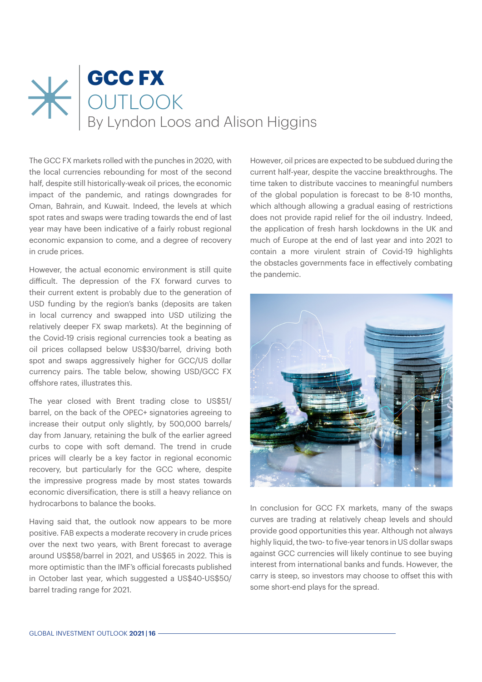## **GCC FX OUTLOOK** By Lyndon Loos and Alison Higgins

The GCC FX markets rolled with the punches in 2020, with the local currencies rebounding for most of the second half, despite still historically-weak oil prices, the economic impact of the pandemic, and ratings downgrades for Oman, Bahrain, and Kuwait. Indeed, the levels at which spot rates and swaps were trading towards the end of last year may have been indicative of a fairly robust regional economic expansion to come, and a degree of recovery in crude prices.

However, the actual economic environment is still quite difficult. The depression of the FX forward curves to their current extent is probably due to the generation of USD funding by the region's banks (deposits are taken in local currency and swapped into USD utilizing the relatively deeper FX swap markets). At the beginning of the Covid-19 crisis regional currencies took a beating as oil prices collapsed below US\$30/barrel, driving both spot and swaps aggressively higher for GCC/US dollar currency pairs. The table below, showing USD/GCC FX offshore rates, illustrates this.

The year closed with Brent trading close to US\$51/ barrel, on the back of the OPEC+ signatories agreeing to increase their output only slightly, by 500,000 barrels/ day from January, retaining the bulk of the earlier agreed curbs to cope with soft demand. The trend in crude prices will clearly be a key factor in regional economic recovery, but particularly for the GCC where, despite the impressive progress made by most states towards economic diversification, there is still a heavy reliance on hydrocarbons to balance the books.

Having said that, the outlook now appears to be more positive. FAB expects a moderate recovery in crude prices over the next two years, with Brent forecast to average around US\$58/barrel in 2021, and US\$65 in 2022. This is more optimistic than the IMF's official forecasts published in October last year, which suggested a US\$40-US\$50/ barrel trading range for 2021.

However, oil prices are expected to be subdued during the current half-year, despite the vaccine breakthroughs. The time taken to distribute vaccines to meaningful numbers of the global population is forecast to be 8-10 months, which although allowing a gradual easing of restrictions does not provide rapid relief for the oil industry. Indeed, the application of fresh harsh lockdowns in the UK and much of Europe at the end of last year and into 2021 to contain a more virulent strain of Covid-19 highlights the obstacles governments face in effectively combating the pandemic.



In conclusion for GCC FX markets, many of the swaps curves are trading at relatively cheap levels and should provide good opportunities this year. Although not always highly liquid, the two- to five-year tenors in US dollar swaps against GCC currencies will likely continue to see buying interest from international banks and funds. However, the carry is steep, so investors may choose to offset this with some short-end plays for the spread.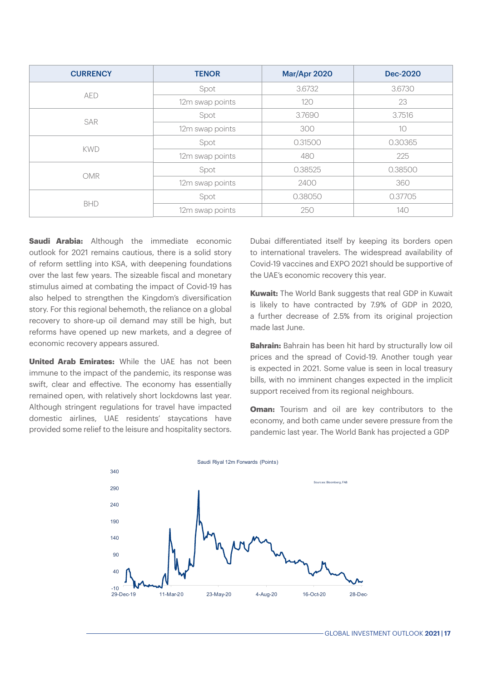| <b>CURRENCY</b> | <b>TENOR</b>    | Mar/Apr 2020 | <b>Dec-2020</b> |
|-----------------|-----------------|--------------|-----------------|
| <b>AED</b>      | Spot            | 3.6732       | 3.6730          |
|                 | 12m swap points | 120          | 23              |
| SAR             | Spot            | 3.7690       | 3.7516          |
|                 | 12m swap points | 300          | 10              |
| <b>KWD</b>      | Spot            | 0.31500      | 0.30365         |
|                 | 12m swap points | 480          | 225             |
| <b>OMR</b>      | Spot            | 0.38525      | 0.38500         |
|                 | 12m swap points | 2400         | 360             |
| <b>BHD</b>      | Spot            | 0.38050      | 0.37705         |
|                 | 12m swap points | 250          | 140             |

**Saudi Arabia:** Although the immediate economic outlook for 2021 remains cautious, there is a solid story of reform settling into KSA, with deepening foundations over the last few years. The sizeable fiscal and monetary stimulus aimed at combating the impact of Covid-19 has also helped to strengthen the Kingdom's diversification story. For this regional behemoth, the reliance on a global recovery to shore-up oil demand may still be high, but reforms have opened up new markets, and a degree of economic recovery appears assured.

**United Arab Emirates:** While the UAE has not been immune to the impact of the pandemic, its response was swift, clear and effective. The economy has essentially remained open, with relatively short lockdowns last year. Although stringent regulations for travel have impacted domestic airlines, UAE residents' staycations have provided some relief to the leisure and hospitality sectors.

Dubai differentiated itself by keeping its borders open to international travelers. The widespread availability of Covid-19 vaccines and EXPO 2021 should be supportive of the UAE's economic recovery this year.

**Kuwait:** The World Bank suggests that real GDP in Kuwait is likely to have contracted by 7.9% of GDP in 2020, a further decrease of 2.5% from its original projection made last June.

**Bahrain:** Bahrain has been hit hard by structurally low oil prices and the spread of Covid-19. Another tough year is expected in 2021. Some value is seen in local treasury bills, with no imminent changes expected in the implicit support received from its regional neighbours.

**Oman:** Tourism and oil are key contributors to the economy, and both came under severe pressure from the pandemic last year. The World Bank has projected a GDP